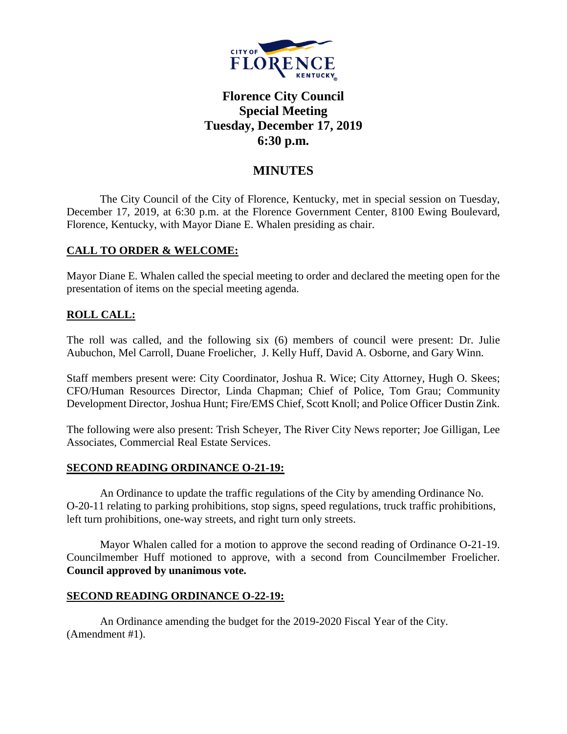

# **Florence City Council Special Meeting Tuesday, December 17, 2019 6:30 p.m.**

## **MINUTES**

The City Council of the City of Florence, Kentucky, met in special session on Tuesday, December 17, 2019, at 6:30 p.m. at the Florence Government Center, 8100 Ewing Boulevard, Florence, Kentucky, with Mayor Diane E. Whalen presiding as chair.

### **CALL TO ORDER & WELCOME:**

Mayor Diane E. Whalen called the special meeting to order and declared the meeting open for the presentation of items on the special meeting agenda.

## **ROLL CALL:**

The roll was called, and the following six (6) members of council were present: Dr. Julie Aubuchon, Mel Carroll, Duane Froelicher, J. Kelly Huff, David A. Osborne, and Gary Winn.

Staff members present were: City Coordinator, Joshua R. Wice; City Attorney, Hugh O. Skees; CFO/Human Resources Director, Linda Chapman; Chief of Police, Tom Grau; Community Development Director, Joshua Hunt; Fire/EMS Chief, Scott Knoll; and Police Officer Dustin Zink.

The following were also present: Trish Scheyer, The River City News reporter; Joe Gilligan, Lee Associates, Commercial Real Estate Services.

### **SECOND READING ORDINANCE O-21-19:**

An Ordinance to update the traffic regulations of the City by amending Ordinance No. O-20-11 relating to parking prohibitions, stop signs, speed regulations, truck traffic prohibitions, left turn prohibitions, one-way streets, and right turn only streets.

Mayor Whalen called for a motion to approve the second reading of Ordinance O-21-19. Councilmember Huff motioned to approve, with a second from Councilmember Froelicher. **Council approved by unanimous vote.**

### **SECOND READING ORDINANCE O-22-19:**

An Ordinance amending the budget for the 2019-2020 Fiscal Year of the City. (Amendment #1).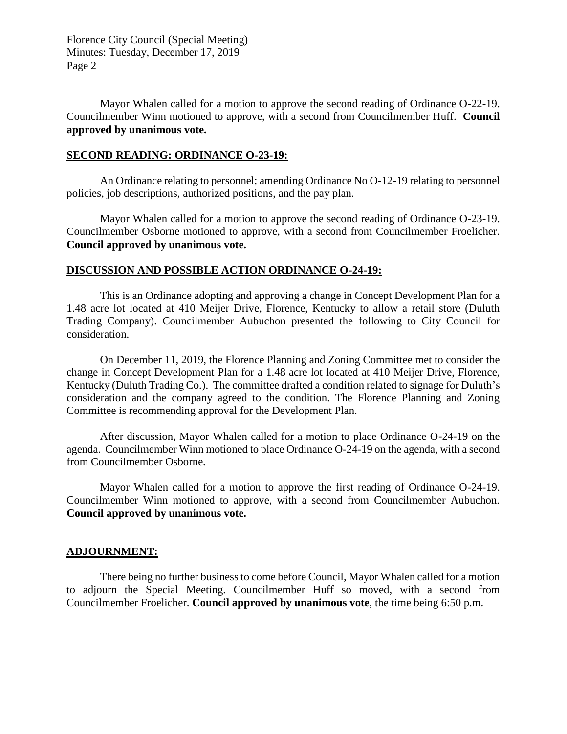Florence City Council (Special Meeting) Minutes: Tuesday, December 17, 2019 Page 2

Mayor Whalen called for a motion to approve the second reading of Ordinance O-22-19. Councilmember Winn motioned to approve, with a second from Councilmember Huff. **Council approved by unanimous vote.**

#### **SECOND READING: ORDINANCE O-23-19:**

An Ordinance relating to personnel; amending Ordinance No O-12-19 relating to personnel policies, job descriptions, authorized positions, and the pay plan.

Mayor Whalen called for a motion to approve the second reading of Ordinance O-23-19. Councilmember Osborne motioned to approve, with a second from Councilmember Froelicher. **Council approved by unanimous vote.**

#### **DISCUSSION AND POSSIBLE ACTION ORDINANCE O-24-19:**

This is an Ordinance adopting and approving a change in Concept Development Plan for a 1.48 acre lot located at 410 Meijer Drive, Florence, Kentucky to allow a retail store (Duluth Trading Company). Councilmember Aubuchon presented the following to City Council for consideration.

On December 11, 2019, the Florence Planning and Zoning Committee met to consider the change in Concept Development Plan for a 1.48 acre lot located at 410 Meijer Drive, Florence, Kentucky (Duluth Trading Co.). The committee drafted a condition related to signage for Duluth's consideration and the company agreed to the condition. The Florence Planning and Zoning Committee is recommending approval for the Development Plan.

After discussion, Mayor Whalen called for a motion to place Ordinance O-24-19 on the agenda. Councilmember Winn motioned to place Ordinance O-24-19 on the agenda, with a second from Councilmember Osborne.

Mayor Whalen called for a motion to approve the first reading of Ordinance O-24-19. Councilmember Winn motioned to approve, with a second from Councilmember Aubuchon. **Council approved by unanimous vote.**

#### **ADJOURNMENT:**

There being no further business to come before Council, Mayor Whalen called for a motion to adjourn the Special Meeting. Councilmember Huff so moved, with a second from Councilmember Froelicher. **Council approved by unanimous vote**, the time being 6:50 p.m.